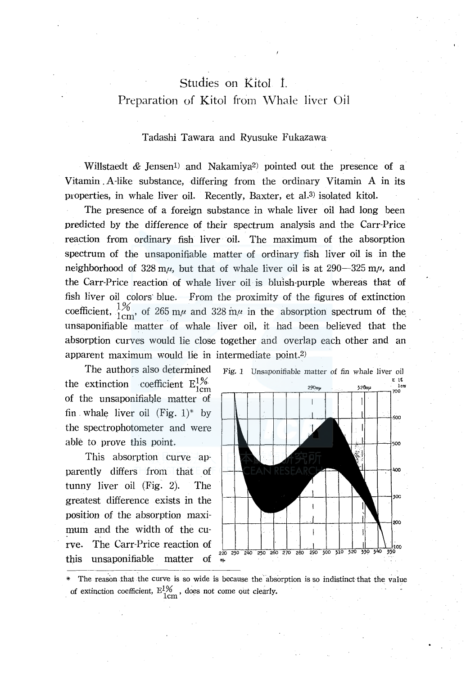# Studies on Kitol 1. Preparation of Kitol from Whale liver Oil

## Tadashi Tawara and Ryusuke Fukazawa

Willstaedt  $\&$  Jensen<sup>1</sup>) and Nakamiya<sup>2</sup> pointed out the presence of a Vitamin. A-like substance, differing from the ordinary Vitamin A in its properties, in whale liver oil. Recently, Baxter, et al.<sup>3</sup> isolated kitol.

The presence of a foreign substance in whale liver oil had long been predicted by the difference of. their spectrum analysis and the Carr-Price reaction from ordinary fish liver oil. The maximum of the absorption spectrum of the unsaponifiable matter of ordinary fish liver oil is in the neighborhood of  $328 \text{ m}\mu$ , but that of whale liver oil is at  $290-325 \text{ m}\mu$ , and the Carr-Price reaction of whale liver oil is bluish-purple whereas that of fish liver oil colors· blue. From the proximity of the figures of extinction coefficient,  $\frac{1\%}{1 \text{ cm}}$ , of 265 m<sub> $\mu$ </sub> and 328 m<sub> $\mu$ </sub> in the absorption spectrum of the. unsaponifiable matter of whale liver oil, it had been believed that the absorption curves would lie close together and overlap each other and an apparent maximum would lie in intermediate point.2)

the extinction coefficient  $E_{1cm}^{1%}$ of the unsaponifiable matter of fin. whale liver oil  $(Fig. 1)^*$  by the spectrophotometer and were able to prove this point.

This absorption curve apparently differs from that of tunny liver oil  $(Fig. 2)$ . The greatest difference exists in the position of the absorption maximum and the width of the curve. The Carr-Price reaction of  $\frac{1}{220,290,240,250,260,270,280}$ this unsaponifiable matter of



\* The reason that the curve is so wide is because the absorption is so indistinct that the value of extinction coefficient,  $E_{1cm}^{1%}$ , does not come out clearly.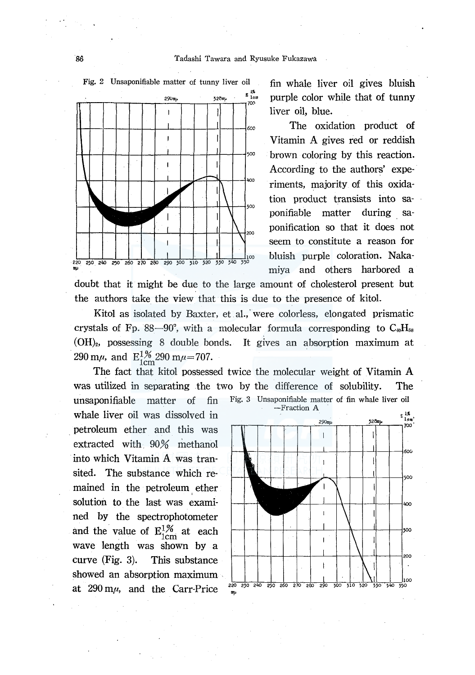

fin whale liver oil gives bluish purple color while that of tunny liver oil, blue.

The oxidation product of Vitamin A gives red or reddish  $500$  brown coloring by this reaction. According to the authors' experiments, majority of this oxidation product transists into saponifiable matter during saponification so that it does not seem to constitute a reason for miya and others harbored a

doubt that it might be due to the large amount of cholesterol present but the authors take the view that this is due to the presence of kitol.

Kitol as isolated by Baxter, et al., were colorless, elongated prismatic crystals of Fp. 88-90°, with a molecular formula corresponding to  $C_{10}H_{58}$ (OH)2, possessing 8 double bonds. It gives an absorption maximum at 290 m $\mu$ , and  $E_{1cm}^{1\%}$  290 m $\mu$ =707.

The fact that kitol possessed twice the molecular weight of Vitamin A was utilized in separating the two by the difference of solubility. The unsaponifiable matter of fin Fig; 3 Unsaponifiable matter of fin whale liver oil

whale liver oil was dissolved in . petroleum ether and this was extracted with 90% methanol into which Vitamin A was transited. The substance which remained in the petroleum ether solution to the last was examined by the spectrophotometer and the value of  $E_{1cm}^{1%}$  at each wave length was shown by a curve (Fig. 3). This substance showed an absorption maximum . at  $290 \text{ m}\mu$ , and the Carr-Price  $\frac{220}{\text{ m}}$ ,  $\frac{250}{\text{ m}}$   $\frac{240}{\text{ m}}$   $\frac{250}{\text{ m}}$   $\frac{260}{\text{ m}}$   $\frac{260}{\text{ m}}$   $\frac{260}{\text{ m}}$   $\frac{260}{\text{ m}}$ 

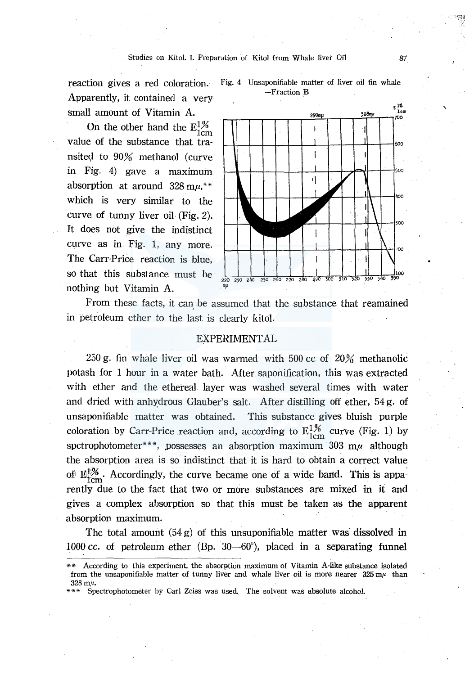reaction gives a red coloration. Apparently, it contained a very small amount of Vitamin A.

On the other hand the  $E_{1cm}^{1%}$ value of the substance that transited to 90% methanol (curve in Fig. 4) gave a maximum absorption at around  $328 \text{ m} \mu$ ,\*\* which is very similar to the curve of tunny liver oil· (Fig. 2). It does not give the indistinct curve as in Fig. 1, any more. The Carr-Price reaction is blue, so that this substance must be nothing but Vitamin A.





From these facts, it can, be assumed that the substance that reamained in petroleum ether to the last is clearly kitol.

## EXPERIMENTAL

250 g. fin whale liver oil was warmed with 500 cc of 20% methanolic potash for 1 hour in a water bath. After saponification, this was extracted with ether and the ethereal layer was washed several times with water and dried with anhydrous Glauber's salt. After distilling off ether,  $54 g$ . of unsaponifiable matter was obtained. This substance gives bluish purple coloration by Carr-Price reaction and, according to  $E_{1cm}^{1%}$  curve (Fig. 1) by spctrophotometer\*\*\*, possesses an absorption maximum 303 m $\mu$  although the absorption area is so indistinct that it is hard to obtain a correct value of  $E_{\text{1cm}}^{1/%}$ . Accordingly, the curve became one of a wide band. This is apparently due to the fact that two or more substances are mixed in it and gives a complex absorption so that this must be taken as the apparent absorption maximum.

The total amount  $(54 g)$  of this unsuponifiable matter was dissolved in 1000 cc. of petroleum ether (Bp. 30-60°), placed in a separating funnel '

<sup>\*\*</sup> According to this experiment, the absorption maximum of Vitamin A-like substance isolated from the unsaponifiable matter of tunny liver and whale liver oil is more nearer  $325 \text{ m}/1$  than  $328 \,\mathrm{m}$ u.

<sup>\*\*\*</sup> Spectrophotometer by Carl Zeiss was used. The solvent was absolute alcohol.